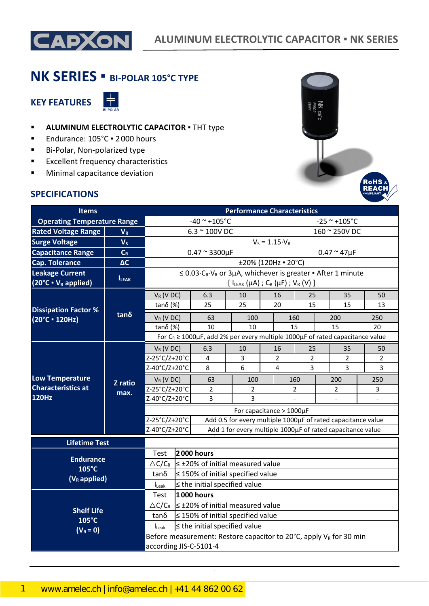

# **NK SERIES ▪ BI-POLAR 105°C TYPE**

**KEY FEATURES**



- **ALUMINUM ELECTROLYTIC CAPACITOR** THT type
- Endurance: 105°C · 2000 hours
- Bi-Polar, Non-polarized type
- **Excellent frequency characteristics**
- **■** Minimal capacitance deviation

### **SPECIFICATIONS**



| <b>Items</b>                                                        |                 | <b>Performance Characteristics</b>                                                                                                                             |                           |                                                                                             |                |               |                         |                     |  |                |                |
|---------------------------------------------------------------------|-----------------|----------------------------------------------------------------------------------------------------------------------------------------------------------------|---------------------------|---------------------------------------------------------------------------------------------|----------------|---------------|-------------------------|---------------------|--|----------------|----------------|
| <b>Operating Temperature Range</b>                                  |                 | $-40$ ~ +105°C                                                                                                                                                 |                           |                                                                                             |                |               | $-25$ ~ +105°C          |                     |  |                |                |
| <b>Rated Voltage Range</b>                                          | $V_R$           | $6.3 \sim 100$ V DC                                                                                                                                            |                           |                                                                                             |                | 160 ~ 250V DC |                         |                     |  |                |                |
| <b>Surge Voltage</b>                                                | V <sub>s</sub>  |                                                                                                                                                                |                           |                                                                                             |                |               | $V_S = 1.15 \cdot V_R$  |                     |  |                |                |
| <b>Capacitance Range</b>                                            | $C_R$           |                                                                                                                                                                | $0.47 \approx 3300 \mu F$ |                                                                                             |                |               | $0.47 \approx 47 \mu F$ |                     |  |                |                |
| <b>Cap. Tolerance</b>                                               | $\Delta C$      |                                                                                                                                                                |                           |                                                                                             |                |               |                         | ±20% (120Hz = 20°C) |  |                |                |
| <b>Leakage Current</b><br>$(20^{\circ}C \cdot V_R \text{ applied})$ | <b>ILEAK</b>    | $\leq 0.03 \cdot C_R \cdot V_R$ or 3µA, whichever is greater $\bullet$ After 1 minute<br>[ $I_{LEAK}(\mu A)$ ; C <sub>R</sub> ( $\mu F$ ); V <sub>R</sub> (V)] |                           |                                                                                             |                |               |                         |                     |  |                |                |
|                                                                     |                 | $V_R$ (V DC)                                                                                                                                                   |                           | 6.3                                                                                         | 10             |               | 16                      | 25                  |  | 35             | 50             |
| <b>Dissipation Factor %</b>                                         |                 | tanδ $(%)$                                                                                                                                                     |                           | 25                                                                                          | 25             |               | 20                      | 15                  |  | 15             | 13             |
| $(20^{\circ}C \cdot 120 Hz)$                                        | $tan\delta$     | $V_R$ (V DC)                                                                                                                                                   |                           | 63                                                                                          | 100            |               | 160                     |                     |  | 200            | 250            |
|                                                                     |                 | tanδ $(%)$                                                                                                                                                     |                           | 10                                                                                          | 10             |               | 15                      |                     |  | 15             | 20             |
|                                                                     |                 |                                                                                                                                                                |                           | For $C_R \ge 1000 \mu$ F, add 2% per every multiple 1000 $\mu$ F of rated capacitance value |                |               |                         |                     |  |                |                |
|                                                                     |                 | $V_R$ (V DC)                                                                                                                                                   |                           | 6.3                                                                                         | 10             |               | 16                      | 25                  |  | 35             | 50             |
|                                                                     | Z ratio<br>max. | Z-25°C/Z+20°C                                                                                                                                                  |                           | 4                                                                                           | 3              |               | $\overline{2}$          | $\overline{2}$      |  | $\overline{2}$ | $\overline{2}$ |
| <b>Low Temperature</b>                                              |                 | Z-40°C/Z+20°C                                                                                                                                                  |                           | 8                                                                                           | 6              |               | 4                       | 3                   |  | 3              | 3              |
|                                                                     |                 | $V_R$ (V DC)                                                                                                                                                   |                           | 63                                                                                          | 100            |               | 160                     |                     |  | 200            | 250            |
| <b>Characteristics at</b>                                           |                 | Z-25°C/Z+20°C                                                                                                                                                  |                           | $\overline{2}$                                                                              | $\overline{2}$ |               | $\overline{2}$          |                     |  | 2              | 3              |
| <b>120Hz</b>                                                        |                 | Z-40°C/Z+20°C<br>3<br>3<br>$\bar{\phantom{a}}$<br>$\overline{\phantom{a}}$                                                                                     |                           |                                                                                             |                |               |                         |                     |  |                |                |
|                                                                     |                 | For capacitance > 1000µF                                                                                                                                       |                           |                                                                                             |                |               |                         |                     |  |                |                |
|                                                                     |                 | Z-25°C/Z+20°C<br>Add 0.5 for every multiple 1000µF of rated capacitance value                                                                                  |                           |                                                                                             |                |               |                         |                     |  |                |                |
|                                                                     |                 | Z-40°C/Z+20°C<br>Add 1 for every multiple 1000µF of rated capacitance value                                                                                    |                           |                                                                                             |                |               |                         |                     |  |                |                |
| <b>Lifetime Test</b>                                                |                 |                                                                                                                                                                |                           |                                                                                             |                |               |                         |                     |  |                |                |
|                                                                     |                 | 2000 hours<br>Test                                                                                                                                             |                           |                                                                                             |                |               |                         |                     |  |                |                |
| <b>Endurance</b><br>105°C<br>$(V_R$ applied)                        |                 | $\triangle C/C_R$ $\leq \pm 20\%$ of initial measured value                                                                                                    |                           |                                                                                             |                |               |                         |                     |  |                |                |
|                                                                     |                 | $\leq$ 150% of initial specified value<br>tanδ                                                                                                                 |                           |                                                                                             |                |               |                         |                     |  |                |                |
|                                                                     |                 | $\le$ the initial specified value<br>ILeak                                                                                                                     |                           |                                                                                             |                |               |                         |                     |  |                |                |
|                                                                     |                 | Test                                                                                                                                                           |                           | <b>1000 hours</b>                                                                           |                |               |                         |                     |  |                |                |
| <b>Shelf Life</b>                                                   |                 | $\triangle C/C_R$                                                                                                                                              |                           | $\leq$ ±20% of initial measured value                                                       |                |               |                         |                     |  |                |                |
| 105°C                                                               |                 | $tan\delta$<br>$\leq$ 150% of initial specified value                                                                                                          |                           |                                                                                             |                |               |                         |                     |  |                |                |
| $(V_R = 0)$                                                         |                 | $\leq$ the initial specified value<br>$I_{\text{Leak}}$                                                                                                        |                           |                                                                                             |                |               |                         |                     |  |                |                |
|                                                                     |                 | Before measurement: Restore capacitor to 20 $^{\circ}$ C, apply V <sub>R</sub> for 30 min                                                                      |                           |                                                                                             |                |               |                         |                     |  |                |                |
|                                                                     |                 | according JIS-C-5101-4                                                                                                                                         |                           |                                                                                             |                |               |                         |                     |  |                |                |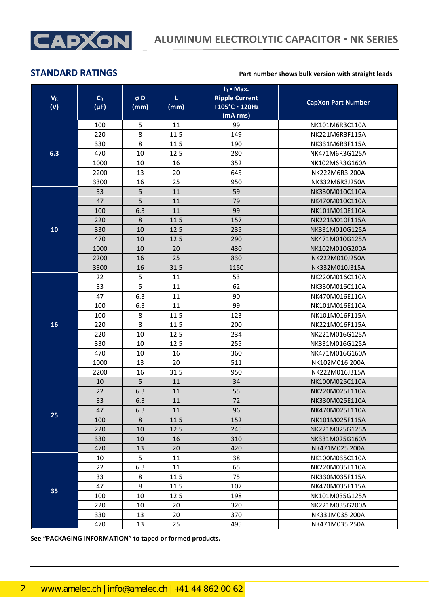

### **STANDARD RATINGS Part number shows bulk version with straight leads**

| $V_{R}$<br>(V) | $C_R$<br>$(\mu F)$ | øD<br>(mm) | τ<br>(mm) | $I_R$ • Max.<br><b>Ripple Current</b><br>+105°C · 120Hz<br>(mA rms) | <b>CapXon Part Number</b> |
|----------------|--------------------|------------|-----------|---------------------------------------------------------------------|---------------------------|
|                | 100                | 5          | 11        | 99                                                                  | NK101M6R3C110A            |
|                | 220                | 8          | 11.5      | 149                                                                 | NK221M6R3F115A            |
|                | 330                | 8          | 11.5      | 190                                                                 | NK331M6R3F115A            |
| 6.3            | 470                | 10         | 12.5      | 280                                                                 | NK471M6R3G125A            |
|                | 1000               | 10         | 16        | 352                                                                 | NK102M6R3G160A            |
|                | 2200               | 13         | 20        | 645                                                                 | NK222M6R3I200A            |
|                | 3300               | 16         | 25        | 950                                                                 | NK332M6R3J250A            |
|                | 33                 | 5          | 11        | 59                                                                  | NK330M010C110A            |
|                | 47                 | 5          | 11        | 79                                                                  | NK470M010C110A            |
|                | 100                | 6.3        | 11        | 99                                                                  | NK101M010E110A            |
|                | 220                | 8          | 11.5      | 157                                                                 | NK221M010F115A            |
| 10             | 330                | 10         | 12.5      | 235                                                                 | NK331M010G125A            |
|                | 470                | 10         | 12.5      | 290                                                                 | NK471M010G125A            |
|                | 1000               | 10         | 20        | 430                                                                 | NK102M010G200A            |
|                | 2200               | 16         | 25        | 830                                                                 | NK222M010J250A            |
|                | 3300               | 16         | 31.5      | 1150                                                                | NK332M010J315A            |
|                | 22                 | 5          | 11        | 53                                                                  | NK220M016C110A            |
|                | 33                 | 5          | 11        | 62                                                                  | NK330M016C110A            |
|                | 47                 | 6.3        | 11        | 90                                                                  | NK470M016E110A            |
|                | 100                | 6.3        | 11        | 99                                                                  | NK101M016E110A            |
|                | 100                | 8          | 11.5      | 123                                                                 | NK101M016F115A            |
| 16             | 220                | 8          | 11.5      | 200                                                                 | NK221M016F115A            |
|                | 220                | 10         | 12.5      | 234                                                                 | NK221M016G125A            |
|                | 330                | 10         | 12.5      | 255                                                                 | NK331M016G125A            |
|                | 470                | 10         | 16        | 360                                                                 | NK471M016G160A            |
|                | 1000               | 13         | 20        | 511                                                                 | NK102M016I200A            |
|                | 2200               | 16         | 31.5      | 950                                                                 | NK222M016J315A            |
|                | 10                 | 5          | 11        | 34                                                                  | NK100M025C110A            |
|                | 22                 | 6.3        | 11        | 55                                                                  | NK220M025E110A            |
|                | 33                 | 6.3        | 11        | 72                                                                  | NK330M025E110A            |
| 25             | 47                 | 6.3        | 11        | 96                                                                  | NK470M025E110A            |
|                | 100                | 8          | 11.5      | 152                                                                 | NK101M025F115A            |
|                | 220                | 10         | 12.5      | 245                                                                 | NK221M025G125A            |
|                | 330                | 10         | 16        | 310                                                                 | NK331M025G160A            |
|                | 470                | 13         | 20        | 420                                                                 | NK471M025I200A            |
|                | 10                 | 5          | 11        | 38                                                                  | NK100M035C110A            |
|                | 22                 | 6.3        | 11        | 65                                                                  | NK220M035E110A            |
|                | 33                 | 8          | 11.5      | 75                                                                  | NK330M035F115A            |
| 35             | 47                 | 8          | 11.5      | 107                                                                 | NK470M035F115A            |
|                | 100                | 10         | 12.5      | 198                                                                 | NK101M035G125A            |
|                | 220                | 10         | 20        | 320                                                                 | NK221M035G200A            |
|                | 330                | 13         | 20        | 370                                                                 | NK331M035I200A            |
|                | 470                | 13         | 25        | 495                                                                 | NK471M035I250A            |

CapXon\_Ver. 001 – 03/31/2020 2 Document Number: NK series

**See "PACKAGING INFORMATION" to taped or formed products.**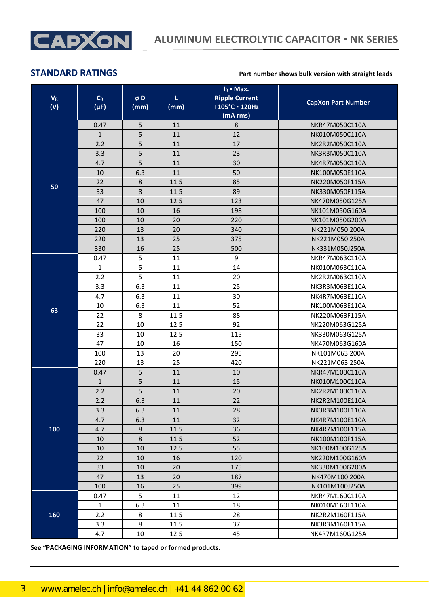

### **STANDARD RATINGS Part number shows bulk version with straight leads**

| $V_R$<br>(V) | $C_R$<br>$(\mu F)$ | øD<br>(mm) | τ<br>(mm) | $I_R$ • Max.<br><b>Ripple Current</b><br>+105°C · 120Hz<br>(mA rms) | <b>CapXon Part Number</b> |
|--------------|--------------------|------------|-----------|---------------------------------------------------------------------|---------------------------|
|              | 0.47               | 5          | 11        | 8                                                                   | NKR47M050C110A            |
|              | $\mathbf{1}$       | 5          | 11        | 12                                                                  | NK010M050C110A            |
|              | 2.2                | 5          | 11        | 17                                                                  | NK2R2M050C110A            |
|              | 3.3                | 5          | 11        | 23                                                                  | NK3R3M050C110A            |
|              | 4.7                | 5          | 11        | 30                                                                  | NK4R7M050C110A            |
|              | 10                 | 6.3        | 11        | 50                                                                  | NK100M050E110A            |
| 50           | 22                 | 8          | 11.5      | 85                                                                  | NK220M050F115A            |
|              | 33                 | 8          | 11.5      | 89                                                                  | NK330M050F115A            |
|              | 47                 | 10         | 12.5      | 123                                                                 | NK470M050G125A            |
|              | 100                | 10         | 16        | 198                                                                 | NK101M050G160A            |
|              | 100                | 10         | 20        | 220                                                                 | NK101M050G200A            |
|              | 220                | 13         | 20        | 340                                                                 | NK221M050I200A            |
|              | 220                | 13         | 25        | 375                                                                 | NK221M050I250A            |
|              | 330                | 16         | 25        | 500                                                                 | NK331M050J250A            |
|              | 0.47               | 5          | 11        | 9                                                                   | NKR47M063C110A            |
|              | $\mathbf{1}$       | 5          | 11        | 14                                                                  | NK010M063C110A            |
|              | 2.2                | 5          | 11        | 20                                                                  | NK2R2M063C110A            |
|              | 3.3                | 6.3        | 11        | 25                                                                  | NK3R3M063E110A            |
|              | 4.7                | 6.3        | 11        | 30                                                                  | NK4R7M063E110A            |
| 63           | 10                 | 6.3        | 11        | 52                                                                  | NK100M063E110A            |
|              | 22                 | 8          | 11.5      | 88                                                                  | NK220M063F115A            |
|              | 22                 | 10         | 12.5      | 92                                                                  | NK220M063G125A            |
|              | 33                 | 10         | 12.5      | 115                                                                 | NK330M063G125A            |
|              | 47                 | 10         | 16        | 150                                                                 | NK470M063G160A            |
|              | 100                | 13         | 20        | 295                                                                 | NK101M063I200A            |
|              | 220                | 13         | 25        | 420                                                                 | NK221M063I250A            |
|              | 0.47               | 5          | 11        | 10                                                                  | NKR47M100C110A            |
|              | $\mathbf{1}$       | 5          | 11        | 15                                                                  | NK010M100C110A            |
|              | 2.2                | 5          | 11        | 20                                                                  | NK2R2M100C110A            |
|              | 2.2                | 6.3        | 11        | 22                                                                  | NK2R2M100E110A            |
|              | 3.3                | 6.3        | 11        | 28                                                                  | NK3R3M100E110A            |
|              | 4.7                | 6.3        | 11        | 32                                                                  | NK4R7M100E110A            |
| 100          | 4.7                | 8          | 11.5      | 36                                                                  | NK4R7M100F115A            |
|              | 10                 | 8          | 11.5      | 52                                                                  | NK100M100F115A            |
|              | 10                 | 10         | 12.5      | 55                                                                  | NK100M100G125A            |
|              | 22                 | 10         | 16        | 120                                                                 | NK220M100G160A            |
|              | 33                 | 10         | 20        | 175                                                                 | NK330M100G200A            |
|              | 47                 | 13         | 20        | 187                                                                 | NK470M100I200A            |
|              | 100                | 16         | 25        | 399                                                                 | NK101M100J250A            |
|              | 0.47               | 5          | 11        | 12                                                                  | NKR47M160C110A            |
|              | $\mathbf{1}$       | 6.3        | 11        | 18                                                                  | NK010M160E110A            |
| 160          | 2.2                | 8          | 11.5      | 28                                                                  | NK2R2M160F115A            |
|              | 3.3                | 8          | 11.5      | 37                                                                  | NK3R3M160F115A            |
|              | 4.7                | 10         | 12.5      | 45                                                                  | NK4R7M160G125A            |

CapXon\_Ver. 001 – 03/31/2020 3 Document Number: NK series

**See "PACKAGING INFORMATION" to taped or formed products.**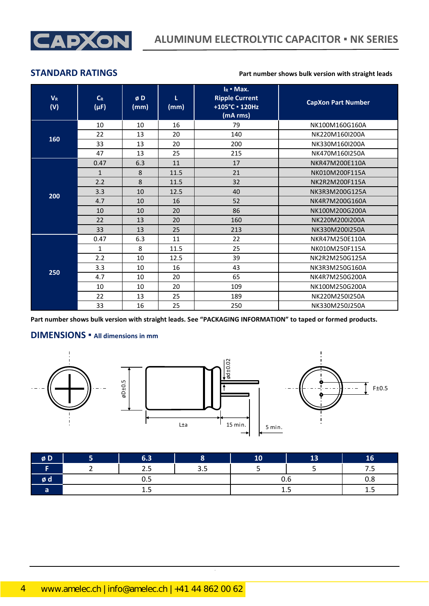

### **STANDARD RATINGS Part number shows bulk version with straight leads**

| $V_{R}$<br>(V) | $C_R$<br>$(\mu F)$ | øD<br>(mm) | т<br>(mm) | $IR$ • Max.<br><b>Ripple Current</b><br>+105°C · 120Hz<br>(mA rms) | <b>CapXon Part Number</b> |
|----------------|--------------------|------------|-----------|--------------------------------------------------------------------|---------------------------|
|                | 10                 | 10         | 16        | 79                                                                 | NK100M160G160A            |
|                | 22                 | 13         | 20        | 140                                                                | NK220M160I200A            |
| 160            | 33                 | 13         | 20        | 200                                                                | NK330M160I200A            |
|                | 47                 | 13         | 25        | 215                                                                | NK470M160I250A            |
|                | 0.47               | 6.3        | 11        | 17                                                                 | NKR47M200E110A            |
|                | $\mathbf{1}$       | 8          | 11.5      | 21                                                                 | NK010M200F115A            |
|                | 2.2                | 8          | 11.5      | 32                                                                 | NK2R2M200F115A            |
|                | 3.3                | 10         | 12.5      | 40                                                                 | NK3R3M200G125A            |
| 200            | 4.7                | 10         | 16        | 52                                                                 | NK4R7M200G160A            |
|                | 10                 | 10         | 20        | 86                                                                 | NK100M200G200A            |
|                | 22                 | 13         | 20        | 160                                                                | NK220M200I200A            |
|                | 33                 | 13         | 25        | 213                                                                | NK330M200I250A            |
|                | 0.47               | 6.3        | 11        | 22                                                                 | NKR47M250E110A            |
|                | $\mathbf{1}$       | 8          | 11.5      | 25                                                                 | NK010M250F115A            |
|                | 2.2                | 10         | 12.5      | 39                                                                 | NK2R2M250G125A            |
|                | 3.3                | 10         | 16        | 43                                                                 | NK3R3M250G160A            |
| 250            | 4.7                | 10         | 20        | 65                                                                 | NK4R7M250G200A            |
|                | 10                 | 10         | 20        | 109                                                                | NK100M250G200A            |
|                | 22                 | 13         | 25        | 189                                                                | NK220M250I250A            |
|                | 33                 | 16         | 25        | 250                                                                | NK330M250J250A            |

**Part number shows bulk version with straight leads. See "PACKAGING INFORMATION" to taped or formed products.**

## **DIMENSIONS ▪ All dimensions in mm**



| øD | 6.3         |     | 10  | 13  | 16 |
|----|-------------|-----|-----|-----|----|
|    | つに<br>ر . ے | 3.5 |     |     |    |
| øα | ◡.◡         |     | U.b | 0.8 |    |
|    | .           |     | ∸.J | ∸.J |    |